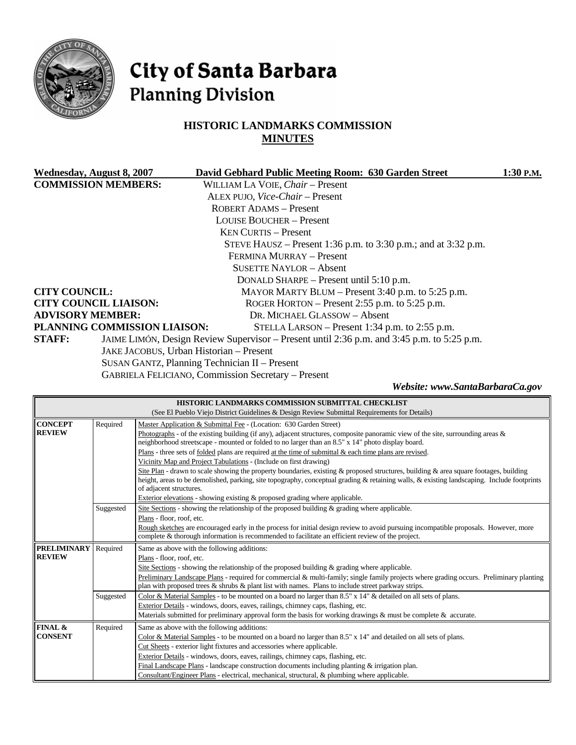

# City of Santa Barbara **Planning Division**

# **HISTORIC LANDMARKS COMMISSION MINUTES**

| Wednesday, August 8, 2007 |                                         | David Gebhard Public Meeting Room: 630 Garden Street                                       | 1:30 P.M. |
|---------------------------|-----------------------------------------|--------------------------------------------------------------------------------------------|-----------|
|                           | <b>COMMISSION MEMBERS:</b>              | WILLIAM LA VOIE, Chair - Present                                                           |           |
|                           |                                         | ALEX PUJO, Vice-Chair - Present                                                            |           |
|                           |                                         | <b>ROBERT ADAMS - Present</b>                                                              |           |
|                           |                                         | <b>LOUISE BOUCHER – Present</b>                                                            |           |
|                           |                                         | <b>KEN CURTIS – Present</b>                                                                |           |
|                           |                                         | STEVE HAUSZ – Present 1:36 p.m. to 3:30 p.m.; and at 3:32 p.m.                             |           |
|                           |                                         | FERMINA MURRAY - Present                                                                   |           |
|                           |                                         | <b>SUSETTE NAYLOR – Absent</b>                                                             |           |
|                           |                                         | DONALD SHARPE – Present until 5:10 p.m.                                                    |           |
| <b>CITY COUNCIL:</b>      |                                         | MAYOR MARTY BLUM – Present 3:40 p.m. to 5:25 p.m.                                          |           |
|                           | <b>CITY COUNCIL LIAISON:</b>            | ROGER HORTON – Present 2:55 p.m. to 5:25 p.m.                                              |           |
| <b>ADVISORY MEMBER:</b>   |                                         | DR. MICHAEL GLASSOW - Absent                                                               |           |
|                           | PLANNING COMMISSION LIAISON:            | STELLA LARSON – Present 1:34 p.m. to 2:55 p.m.                                             |           |
| <b>STAFF:</b>             |                                         | JAIME LIMÓN, Design Review Supervisor – Present until 2:36 p.m. and 3:45 p.m. to 5:25 p.m. |           |
|                           | JAKE JACOBUS, Urban Historian - Present |                                                                                            |           |
|                           |                                         | SUSAN GANTZ, Planning Technician II - Present                                              |           |
|                           |                                         | <b>GABRIELA FELICIANO, Commission Secretary – Present</b>                                  |           |

*Website: www.SantaBarbaraCa.gov* 

| HISTORIC LANDMARKS COMMISSION SUBMITTAL CHECKLIST |           |                                                                                                                                                                                                                                                                                                                                                                                                                                                                                                                                                                                                                                                                                                                                                                                                                                                                                                             |  |
|---------------------------------------------------|-----------|-------------------------------------------------------------------------------------------------------------------------------------------------------------------------------------------------------------------------------------------------------------------------------------------------------------------------------------------------------------------------------------------------------------------------------------------------------------------------------------------------------------------------------------------------------------------------------------------------------------------------------------------------------------------------------------------------------------------------------------------------------------------------------------------------------------------------------------------------------------------------------------------------------------|--|
|                                                   |           | (See El Pueblo Viejo District Guidelines & Design Review Submittal Requirements for Details)                                                                                                                                                                                                                                                                                                                                                                                                                                                                                                                                                                                                                                                                                                                                                                                                                |  |
| <b>CONCEPT</b><br><b>REVIEW</b>                   | Required  | Master Application & Submittal Fee - (Location: 630 Garden Street)<br>Photographs - of the existing building (if any), adjacent structures, composite panoramic view of the site, surrounding areas $\&$<br>neighborhood streetscape - mounted or folded to no larger than an 8.5" x 14" photo display board.<br>Plans - three sets of <u>folded</u> plans are required at the time of submittal $\&$ each time plans are revised.<br>Vicinity Map and Project Tabulations - (Include on first drawing)<br>Site Plan - drawn to scale showing the property boundaries, existing & proposed structures, building & area square footages, building<br>height, areas to be demolished, parking, site topography, conceptual grading & retaining walls, & existing landscaping. Include footprints<br>of adjacent structures.<br>Exterior elevations - showing existing $\&$ proposed grading where applicable. |  |
|                                                   | Suggested | Site Sections - showing the relationship of the proposed building $\&$ grading where applicable.<br>Plans - floor, roof, etc.<br>Rough sketches are encouraged early in the process for initial design review to avoid pursuing incompatible proposals. However, more<br>complete & thorough information is recommended to facilitate an efficient review of the project.                                                                                                                                                                                                                                                                                                                                                                                                                                                                                                                                   |  |
| <b>PRELIMINARY</b><br><b>REVIEW</b>               | Required  | Same as above with the following additions:<br>Plans - floor, roof, etc.<br>Site Sections - showing the relationship of the proposed building & grading where applicable.<br>Preliminary Landscape Plans - required for commercial & multi-family; single family projects where grading occurs. Preliminary planting<br>plan with proposed trees $\&$ shrubs $\&$ plant list with names. Plans to include street parkway strips.                                                                                                                                                                                                                                                                                                                                                                                                                                                                            |  |
|                                                   | Suggested | Color & Material Samples - to be mounted on a board no larger than $8.5"$ x $14"$ & detailed on all sets of plans.<br>Exterior Details - windows, doors, eaves, railings, chimney caps, flashing, etc.<br>Materials submitted for preliminary approval form the basis for working drawings $\&$ must be complete $\&$ accurate.                                                                                                                                                                                                                                                                                                                                                                                                                                                                                                                                                                             |  |
| FINAL &<br><b>CONSENT</b>                         | Required  | Same as above with the following additions:<br>Color & Material Samples - to be mounted on a board no larger than $8.5"$ x 14" and detailed on all sets of plans.<br>Cut Sheets - exterior light fixtures and accessories where applicable.<br>Exterior Details - windows, doors, eaves, railings, chimney caps, flashing, etc.<br>Final Landscape Plans - landscape construction documents including planting $\&$ irrigation plan.<br>Consultant/Engineer Plans - electrical, mechanical, structural, & plumbing where applicable.                                                                                                                                                                                                                                                                                                                                                                        |  |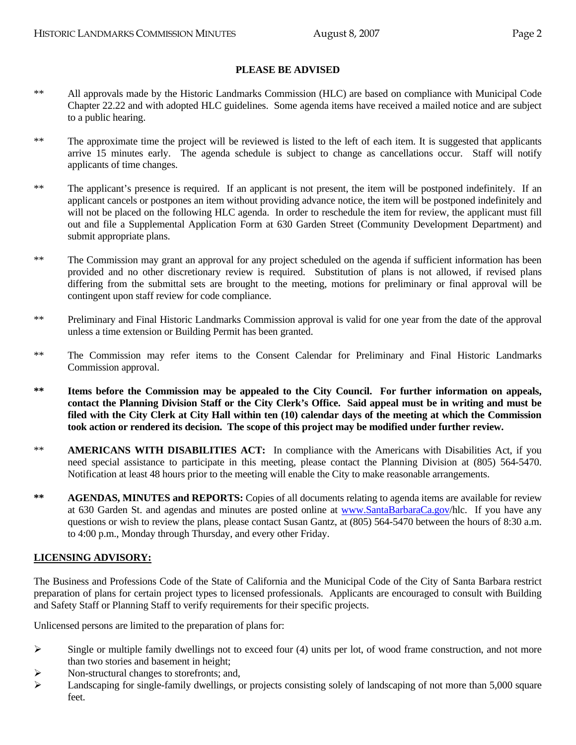## **PLEASE BE ADVISED**

- \*\* All approvals made by the Historic Landmarks Commission (HLC) are based on compliance with Municipal Code Chapter 22.22 and with adopted HLC guidelines. Some agenda items have received a mailed notice and are subject to a public hearing.
- \*\* The approximate time the project will be reviewed is listed to the left of each item. It is suggested that applicants arrive 15 minutes early. The agenda schedule is subject to change as cancellations occur. Staff will notify applicants of time changes.
- \*\* The applicant's presence is required. If an applicant is not present, the item will be postponed indefinitely. If an applicant cancels or postpones an item without providing advance notice, the item will be postponed indefinitely and will not be placed on the following HLC agenda. In order to reschedule the item for review, the applicant must fill out and file a Supplemental Application Form at 630 Garden Street (Community Development Department) and submit appropriate plans.
- \*\* The Commission may grant an approval for any project scheduled on the agenda if sufficient information has been provided and no other discretionary review is required. Substitution of plans is not allowed, if revised plans differing from the submittal sets are brought to the meeting, motions for preliminary or final approval will be contingent upon staff review for code compliance.
- \*\* Preliminary and Final Historic Landmarks Commission approval is valid for one year from the date of the approval unless a time extension or Building Permit has been granted.
- \*\* The Commission may refer items to the Consent Calendar for Preliminary and Final Historic Landmarks Commission approval.
- **\*\* Items before the Commission may be appealed to the City Council. For further information on appeals, contact the Planning Division Staff or the City Clerk's Office. Said appeal must be in writing and must be filed with the City Clerk at City Hall within ten (10) calendar days of the meeting at which the Commission took action or rendered its decision. The scope of this project may be modified under further review.**
- \*\* **AMERICANS WITH DISABILITIES ACT:** In compliance with the Americans with Disabilities Act, if you need special assistance to participate in this meeting, please contact the Planning Division at (805) 564-5470. Notification at least 48 hours prior to the meeting will enable the City to make reasonable arrangements.
- **\*\* AGENDAS, MINUTES and REPORTS:** Copies of all documents relating to agenda items are available for review at 630 Garden St. and agendas and minutes are posted online at www.SantaBarbaraCa.gov/hlc. If you have any questions or wish to review the plans, please contact Susan Gantz, at (805) 564-5470 between the hours of 8:30 a.m. to 4:00 p.m., Monday through Thursday, and every other Friday.

#### **LICENSING ADVISORY:**

The Business and Professions Code of the State of California and the Municipal Code of the City of Santa Barbara restrict preparation of plans for certain project types to licensed professionals. Applicants are encouraged to consult with Building and Safety Staff or Planning Staff to verify requirements for their specific projects.

Unlicensed persons are limited to the preparation of plans for:

- $\triangleright$  Single or multiple family dwellings not to exceed four (4) units per lot, of wood frame construction, and not more than two stories and basement in height;
- ¾ Non-structural changes to storefronts; and,
- $\blacktriangleright$  Landscaping for single-family dwellings, or projects consisting solely of landscaping of not more than 5,000 square feet.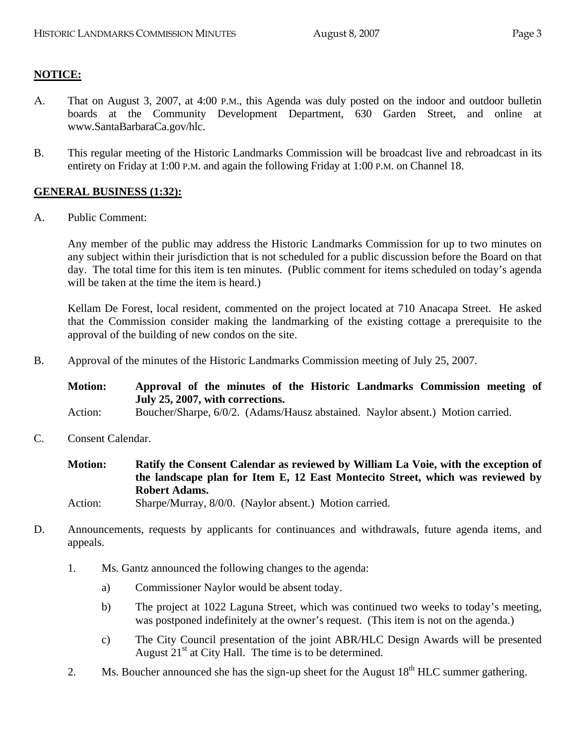## **NOTICE:**

- A. That on August 3, 2007, at 4:00 P.M., this Agenda was duly posted on the indoor and outdoor bulletin boards at the Community Development Department, 630 Garden Street, and online at www.SantaBarbaraCa.gov/hlc.
- B. This regular meeting of the Historic Landmarks Commission will be broadcast live and rebroadcast in its entirety on Friday at 1:00 P.M. and again the following Friday at 1:00 P.M. on Channel 18.

## **GENERAL BUSINESS (1:32):**

A. Public Comment:

Any member of the public may address the Historic Landmarks Commission for up to two minutes on any subject within their jurisdiction that is not scheduled for a public discussion before the Board on that day. The total time for this item is ten minutes. (Public comment for items scheduled on today's agenda will be taken at the time the item is heard.)

Kellam De Forest, local resident, commented on the project located at 710 Anacapa Street. He asked that the Commission consider making the landmarking of the existing cottage a prerequisite to the approval of the building of new condos on the site.

- B. Approval of the minutes of the Historic Landmarks Commission meeting of July 25, 2007.
	- **Motion: Approval of the minutes of the Historic Landmarks Commission meeting of July 25, 2007, with corrections.**
	- Action: Boucher/Sharpe, 6/0/2. (Adams/Hausz abstained. Naylor absent.) Motion carried.
- C. Consent Calendar.

**Motion: Ratify the Consent Calendar as reviewed by William La Voie, with the exception of the landscape plan for Item E, 12 East Montecito Street, which was reviewed by Robert Adams.** 

Action: Sharpe/Murray, 8/0/0. (Naylor absent.) Motion carried.

- D. Announcements, requests by applicants for continuances and withdrawals, future agenda items, and appeals.
	- 1. Ms. Gantz announced the following changes to the agenda:
		- a) Commissioner Naylor would be absent today.
		- b) The project at 1022 Laguna Street, which was continued two weeks to today's meeting, was postponed indefinitely at the owner's request. (This item is not on the agenda.)
		- c) The City Council presentation of the joint ABR/HLC Design Awards will be presented August  $21<sup>st</sup>$  at City Hall. The time is to be determined.
	- 2. Ms. Boucher announced she has the sign-up sheet for the August  $18<sup>th</sup>$  HLC summer gathering.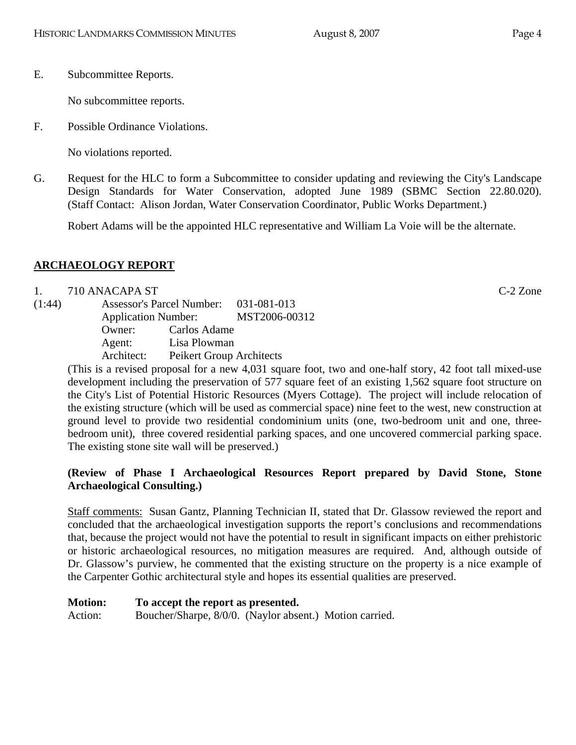E. Subcommittee Reports.

No subcommittee reports.

F. Possible Ordinance Violations.

No violations reported.

G. Request for the HLC to form a Subcommittee to consider updating and reviewing the City's Landscape Design Standards for Water Conservation, adopted June 1989 (SBMC Section 22.80.020). (Staff Contact: Alison Jordan, Water Conservation Coordinator, Public Works Department.)

Robert Adams will be the appointed HLC representative and William La Voie will be the alternate.

## **ARCHAEOLOGY REPORT**

#### 1. 710 ANACAPA ST C-2 Zone

| (1:44) |                            | <b>Assessor's Parcel Number:</b> | 031-081-013   |  |
|--------|----------------------------|----------------------------------|---------------|--|
|        | <b>Application Number:</b> |                                  | MST2006-00312 |  |
|        | Owner:                     | Carlos Adame                     |               |  |
|        | Agent:                     | Lisa Plowman                     |               |  |
|        | Architect:                 | Peikert Group Architects         |               |  |
|        |                            |                                  |               |  |

(This is a revised proposal for a new 4,031 square foot, two and one-half story, 42 foot tall mixed-use development including the preservation of 577 square feet of an existing 1,562 square foot structure on the City's List of Potential Historic Resources (Myers Cottage). The project will include relocation of the existing structure (which will be used as commercial space) nine feet to the west, new construction at ground level to provide two residential condominium units (one, two-bedroom unit and one, threebedroom unit), three covered residential parking spaces, and one uncovered commercial parking space. The existing stone site wall will be preserved.)

## **(Review of Phase I Archaeological Resources Report prepared by David Stone, Stone Archaeological Consulting.)**

Staff comments: Susan Gantz, Planning Technician II, stated that Dr. Glassow reviewed the report and concluded that the archaeological investigation supports the report's conclusions and recommendations that, because the project would not have the potential to result in significant impacts on either prehistoric or historic archaeological resources, no mitigation measures are required. And, although outside of Dr. Glassow's purview, he commented that the existing structure on the property is a nice example of the Carpenter Gothic architectural style and hopes its essential qualities are preserved.

#### **Motion: To accept the report as presented.**

Action: Boucher/Sharpe, 8/0/0. (Naylor absent.) Motion carried.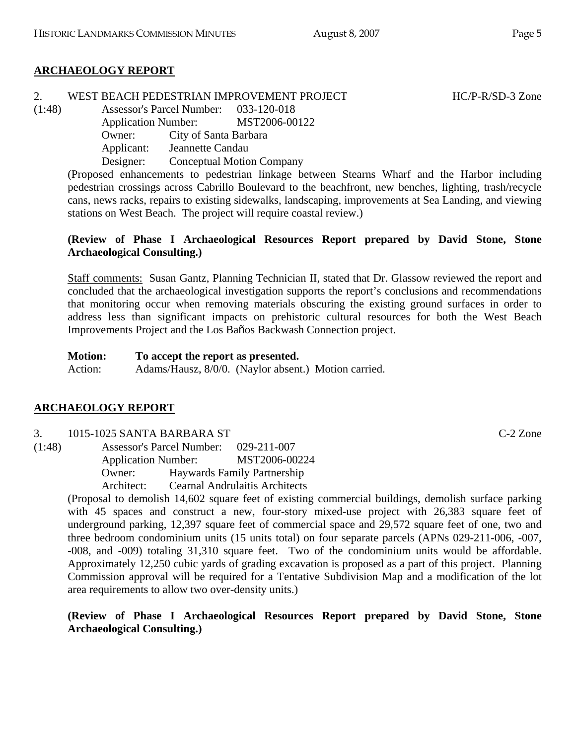# **ARCHAEOLOGY REPORT**

2. WEST BEACH PEDESTRIAN IMPROVEMENT PROJECT HC/P-R/SD-3 Zone

(1:48) Assessor's Parcel Number: 033-120-018

 Application Number: MST2006-00122 Owner: City of Santa Barbara Applicant: Jeannette Candau

 Designer: Conceptual Motion Company (Proposed enhancements to pedestrian linkage between Stearns Wharf and the Harbor including

pedestrian crossings across Cabrillo Boulevard to the beachfront, new benches, lighting, trash/recycle cans, news racks, repairs to existing sidewalks, landscaping, improvements at Sea Landing, and viewing stations on West Beach. The project will require coastal review.)

# **(Review of Phase I Archaeological Resources Report prepared by David Stone, Stone Archaeological Consulting.)**

Staff comments: Susan Gantz, Planning Technician II, stated that Dr. Glassow reviewed the report and concluded that the archaeological investigation supports the report's conclusions and recommendations that monitoring occur when removing materials obscuring the existing ground surfaces in order to address less than significant impacts on prehistoric cultural resources for both the West Beach Improvements Project and the Los Baños Backwash Connection project.

**Motion: To accept the report as presented.**  Action: Adams/Hausz, 8/0/0. (Naylor absent.) Motion carried.

# **ARCHAEOLOGY REPORT**

# 3. 1015-1025 SANTA BARBARA ST C-2 Zone

(1:48) Assessor's Parcel Number: 029-211-007 Application Number: MST2006-00224 Owner: Haywards Family Partnership Architect: Cearnal Andrulaitis Architects

(Proposal to demolish 14,602 square feet of existing commercial buildings, demolish surface parking with 45 spaces and construct a new, four-story mixed-use project with 26,383 square feet of underground parking, 12,397 square feet of commercial space and 29,572 square feet of one, two and three bedroom condominium units (15 units total) on four separate parcels (APNs 029-211-006, -007, -008, and -009) totaling 31,310 square feet. Two of the condominium units would be affordable. Approximately 12,250 cubic yards of grading excavation is proposed as a part of this project. Planning Commission approval will be required for a Tentative Subdivision Map and a modification of the lot area requirements to allow two over-density units.)

**(Review of Phase I Archaeological Resources Report prepared by David Stone, Stone Archaeological Consulting.)**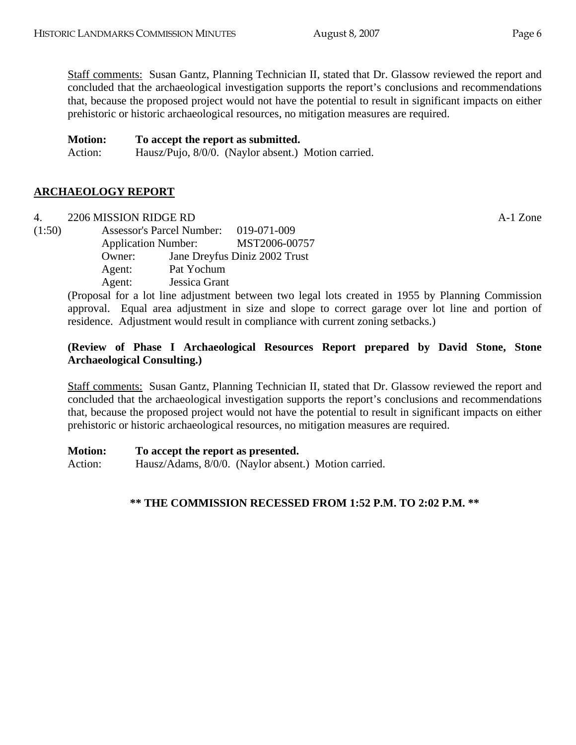Staff comments: Susan Gantz, Planning Technician II, stated that Dr. Glassow reviewed the report and concluded that the archaeological investigation supports the report's conclusions and recommendations that, because the proposed project would not have the potential to result in significant impacts on either prehistoric or historic archaeological resources, no mitigation measures are required.

#### **Motion: To accept the report as submitted.**

Action: Hausz/Pujo, 8/0/0. (Naylor absent.) Motion carried.

# **ARCHAEOLOGY REPORT**

## 4. 2206 MISSION RIDGE RD A-1 Zone

(1:50) Assessor's Parcel Number: 019-071-009 Application Number: MST2006-00757 Owner: Jane Dreyfus Diniz 2002 Trust Agent: Pat Yochum Agent: Jessica Grant

> (Proposal for a lot line adjustment between two legal lots created in 1955 by Planning Commission approval. Equal area adjustment in size and slope to correct garage over lot line and portion of residence. Adjustment would result in compliance with current zoning setbacks.)

## **(Review of Phase I Archaeological Resources Report prepared by David Stone, Stone Archaeological Consulting.)**

Staff comments: Susan Gantz, Planning Technician II, stated that Dr. Glassow reviewed the report and concluded that the archaeological investigation supports the report's conclusions and recommendations that, because the proposed project would not have the potential to result in significant impacts on either prehistoric or historic archaeological resources, no mitigation measures are required.

**Motion: To accept the report as presented.**  Action: Hausz/Adams, 8/0/0. (Naylor absent.) Motion carried.

## **\*\* THE COMMISSION RECESSED FROM 1:52 P.M. TO 2:02 P.M. \*\***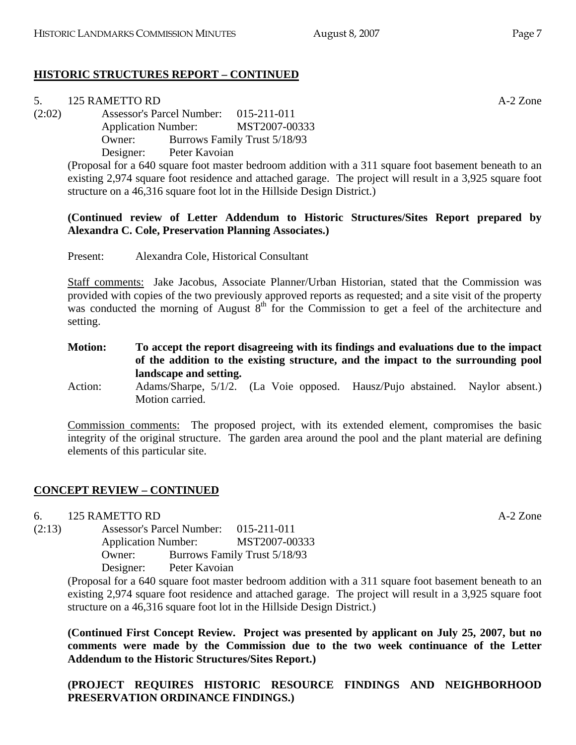# **HISTORIC STRUCTURES REPORT – CONTINUED**

| 5.     | 125 RAMETTO RD |                                       |                                                                                                          | A-2 Zone |
|--------|----------------|---------------------------------------|----------------------------------------------------------------------------------------------------------|----------|
| (2:02) |                | Assessor's Parcel Number: 015-211-011 |                                                                                                          |          |
|        |                |                                       | Application Number: MST2007-00333                                                                        |          |
|        |                |                                       | Owner: Burrows Family Trust 5/18/93                                                                      |          |
|        |                | Designer: Peter Kavoian               |                                                                                                          |          |
|        |                |                                       | $(Dronosol)$ for a 640 square foot moster bodroom addition with a 211 square foot becoment beneath to an |          |

(Proposal for a 640 square foot master bedroom addition with a 311 square foot basement beneath to an existing 2,974 square foot residence and attached garage. The project will result in a 3,925 square foot structure on a 46,316 square foot lot in the Hillside Design District.)

## **(Continued review of Letter Addendum to Historic Structures/Sites Report prepared by Alexandra C. Cole, Preservation Planning Associates.)**

Present: Alexandra Cole, Historical Consultant

Staff comments: Jake Jacobus, Associate Planner/Urban Historian, stated that the Commission was provided with copies of the two previously approved reports as requested; and a site visit of the property was conducted the morning of August  $8<sup>th</sup>$  for the Commission to get a feel of the architecture and setting.

**Motion: To accept the report disagreeing with its findings and evaluations due to the impact of the addition to the existing structure, and the impact to the surrounding pool landscape and setting.** 

Action: Adams/Sharpe, 5/1/2. (La Voie opposed. Hausz/Pujo abstained. Naylor absent.) Motion carried.

Commission comments: The proposed project, with its extended element, compromises the basic integrity of the original structure. The garden area around the pool and the plant material are defining elements of this particular site.

## **CONCEPT REVIEW – CONTINUED**

6. 125 RAMETTO RD

- 
- (2:13) Assessor's Parcel Number: 015-211-011 Application Number: MST2007-00333 Owner: Burrows Family Trust 5/18/93 Designer: Peter Kavoian

(Proposal for a 640 square foot master bedroom addition with a 311 square foot basement beneath to an existing 2,974 square foot residence and attached garage. The project will result in a 3,925 square foot structure on a 46,316 square foot lot in the Hillside Design District.)

**(Continued First Concept Review. Project was presented by applicant on July 25, 2007, but no comments were made by the Commission due to the two week continuance of the Letter Addendum to the Historic Structures/Sites Report.)** 

**(PROJECT REQUIRES HISTORIC RESOURCE FINDINGS AND NEIGHBORHOOD PRESERVATION ORDINANCE FINDINGS.)**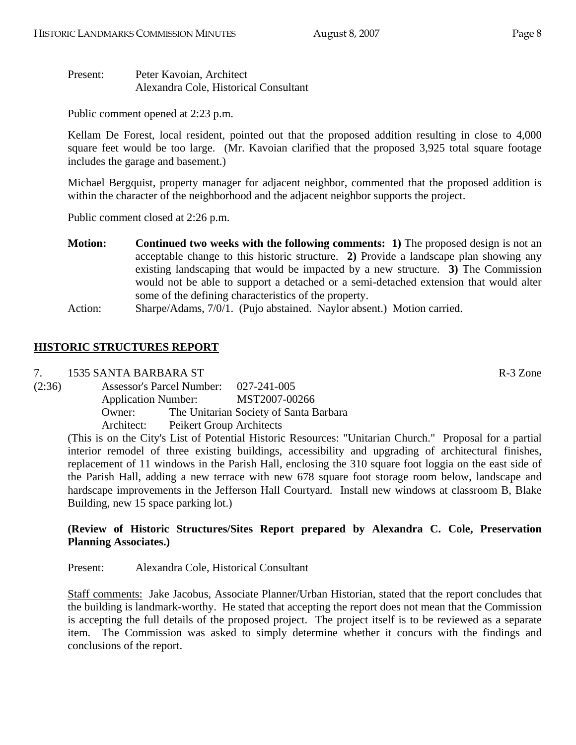Public comment opened at 2:23 p.m.

Kellam De Forest, local resident, pointed out that the proposed addition resulting in close to 4,000 square feet would be too large. (Mr. Kavoian clarified that the proposed 3,925 total square footage includes the garage and basement.)

Michael Bergquist, property manager for adjacent neighbor, commented that the proposed addition is within the character of the neighborhood and the adjacent neighbor supports the project.

Public comment closed at 2:26 p.m.

**Motion:** Continued two weeks with the following comments: 1) The proposed design is not an acceptable change to this historic structure. **2)** Provide a landscape plan showing any existing landscaping that would be impacted by a new structure. **3)** The Commission would not be able to support a detached or a semi-detached extension that would alter some of the defining characteristics of the property.

Action: Sharpe/Adams, 7/0/1. (Pujo abstained. Naylor absent.) Motion carried.

# **HISTORIC STRUCTURES REPORT**

#### 7. 1535 SANTA BARBARA ST R-3 Zone

(2:36) Assessor's Parcel Number: 027-241-005 Application Number: MST2007-00266 Owner: The Unitarian Society of Santa Barbara Architect: Peikert Group Architects

(This is on the City's List of Potential Historic Resources: "Unitarian Church." Proposal for a partial interior remodel of three existing buildings, accessibility and upgrading of architectural finishes, replacement of 11 windows in the Parish Hall, enclosing the 310 square foot loggia on the east side of the Parish Hall, adding a new terrace with new 678 square foot storage room below, landscape and hardscape improvements in the Jefferson Hall Courtyard. Install new windows at classroom B, Blake Building, new 15 space parking lot.)

# **(Review of Historic Structures/Sites Report prepared by Alexandra C. Cole, Preservation Planning Associates.)**

Present: Alexandra Cole, Historical Consultant

Staff comments: Jake Jacobus, Associate Planner/Urban Historian, stated that the report concludes that the building is landmark-worthy. He stated that accepting the report does not mean that the Commission is accepting the full details of the proposed project. The project itself is to be reviewed as a separate item. The Commission was asked to simply determine whether it concurs with the findings and conclusions of the report.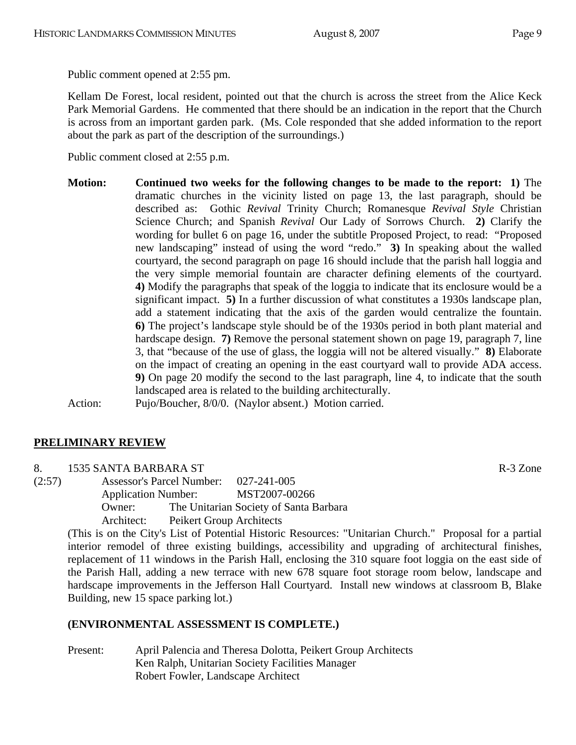Public comment opened at 2:55 pm.

Kellam De Forest, local resident, pointed out that the church is across the street from the Alice Keck Park Memorial Gardens. He commented that there should be an indication in the report that the Church is across from an important garden park. (Ms. Cole responded that she added information to the report about the park as part of the description of the surroundings.)

Public comment closed at 2:55 p.m.

**Motion: Continued two weeks for the following changes to be made to the report: 1)** The dramatic churches in the vicinity listed on page 13, the last paragraph, should be described as: Gothic *Revival* Trinity Church; Romanesque *Revival Style* Christian Science Church; and Spanish *Revival* Our Lady of Sorrows Church. **2)** Clarify the wording for bullet 6 on page 16, under the subtitle Proposed Project, to read: "Proposed new landscaping" instead of using the word "redo." **3)** In speaking about the walled courtyard, the second paragraph on page 16 should include that the parish hall loggia and the very simple memorial fountain are character defining elements of the courtyard. **4)** Modify the paragraphs that speak of the loggia to indicate that its enclosure would be a significant impact. **5)** In a further discussion of what constitutes a 1930s landscape plan, add a statement indicating that the axis of the garden would centralize the fountain. **6)** The project's landscape style should be of the 1930s period in both plant material and hardscape design. **7)** Remove the personal statement shown on page 19, paragraph 7, line 3, that "because of the use of glass, the loggia will not be altered visually." **8)** Elaborate on the impact of creating an opening in the east courtyard wall to provide ADA access. **9)** On page 20 modify the second to the last paragraph, line 4, to indicate that the south landscaped area is related to the building architecturally. Action: Pujo/Boucher, 8/0/0. (Naylor absent.) Motion carried.

# **PRELIMINARY REVIEW**

| 1535 SANTA BARBARA ST | R-3 Zone |
|-----------------------|----------|
|                       |          |

(2:57) Assessor's Parcel Number: 027-241-005 Application Number: MST2007-00266 Owner: The Unitarian Society of Santa Barbara Architect: Peikert Group Architects

> (This is on the City's List of Potential Historic Resources: "Unitarian Church." Proposal for a partial interior remodel of three existing buildings, accessibility and upgrading of architectural finishes, replacement of 11 windows in the Parish Hall, enclosing the 310 square foot loggia on the east side of the Parish Hall, adding a new terrace with new 678 square foot storage room below, landscape and hardscape improvements in the Jefferson Hall Courtyard. Install new windows at classroom B, Blake Building, new 15 space parking lot.)

# **(ENVIRONMENTAL ASSESSMENT IS COMPLETE.)**

Present: April Palencia and Theresa Dolotta, Peikert Group Architects Ken Ralph, Unitarian Society Facilities Manager Robert Fowler, Landscape Architect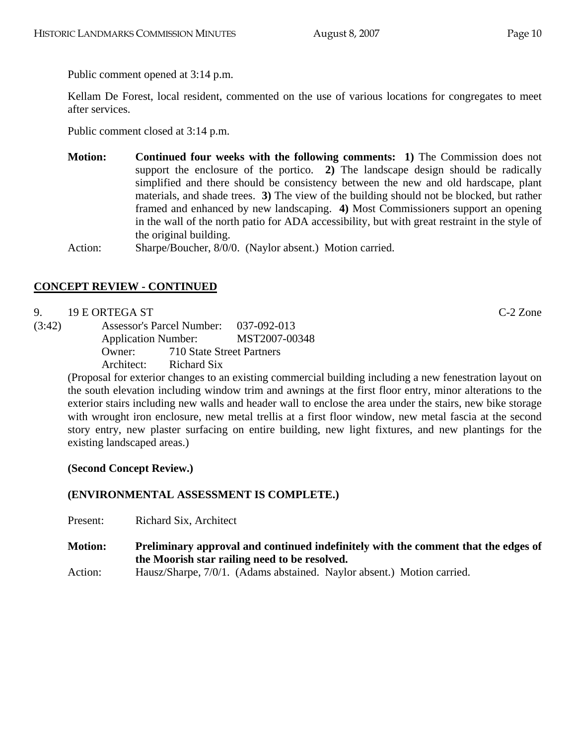Public comment opened at 3:14 p.m.

Kellam De Forest, local resident, commented on the use of various locations for congregates to meet after services.

Public comment closed at 3:14 p.m.

**Motion: Continued four weeks with the following comments: 1)** The Commission does not support the enclosure of the portico. **2)** The landscape design should be radically simplified and there should be consistency between the new and old hardscape, plant materials, and shade trees. **3)** The view of the building should not be blocked, but rather framed and enhanced by new landscaping. **4)** Most Commissioners support an opening in the wall of the north patio for ADA accessibility, but with great restraint in the style of the original building.

Action: Sharpe/Boucher, 8/0/0. (Naylor absent.) Motion carried.

# **CONCEPT REVIEW - CONTINUED**

## 9. 19 E ORTEGA ST C-2 Zone

(3:42) Assessor's Parcel Number: 037-092-013 Application Number: MST2007-00348 Owner: 710 State Street Partners Architect: Richard Six

(Proposal for exterior changes to an existing commercial building including a new fenestration layout on the south elevation including window trim and awnings at the first floor entry, minor alterations to the exterior stairs including new walls and header wall to enclose the area under the stairs, new bike storage with wrought iron enclosure, new metal trellis at a first floor window, new metal fascia at the second story entry, new plaster surfacing on entire building, new light fixtures, and new plantings for the existing landscaped areas.)

## **(Second Concept Review.)**

## **(ENVIRONMENTAL ASSESSMENT IS COMPLETE.)**

Present: Richard Six, Architect

**Motion: Preliminary approval and continued indefinitely with the comment that the edges of the Moorish star railing need to be resolved.** 

Action: Hausz/Sharpe, 7/0/1. (Adams abstained. Naylor absent.) Motion carried.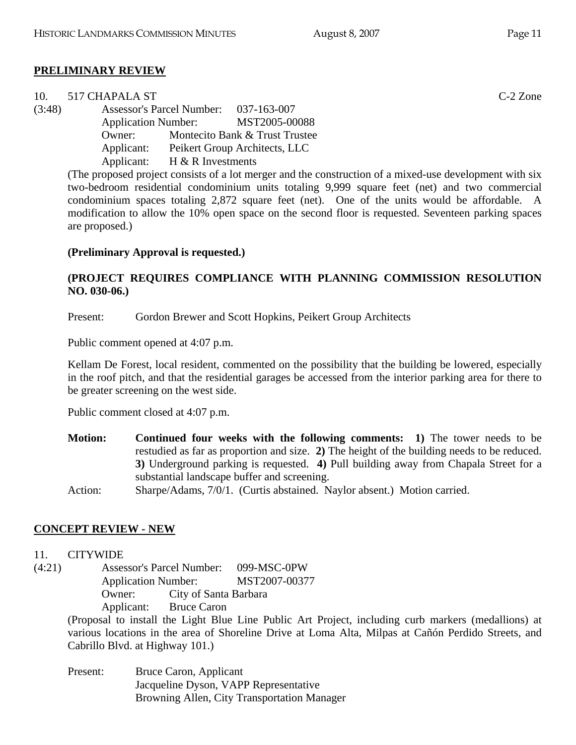# **PRELIMINARY REVIEW**

| 10.    | 517 CHAPALA ST                        | $C-2$ Zone                                                                                             |
|--------|---------------------------------------|--------------------------------------------------------------------------------------------------------|
| (3:48) | Assessor's Parcel Number: 037-163-007 |                                                                                                        |
|        |                                       | Application Number: MST2005-00088                                                                      |
|        | Owner:                                | Montecito Bank & Trust Trustee                                                                         |
|        |                                       | Applicant: Peikert Group Architects, LLC                                                               |
|        | Applicant: $H & R$ Investments        |                                                                                                        |
|        |                                       | The proposed project consists of a lot merger and the construction of a mixed-use development with six |

(The proposed project consists of a lot merger and the construction of a mixed-use development with six two-bedroom residential condominium units totaling 9,999 square feet (net) and two commercial condominium spaces totaling 2,872 square feet (net). One of the units would be affordable. A modification to allow the 10% open space on the second floor is requested. Seventeen parking spaces are proposed.)

# **(Preliminary Approval is requested.)**

# **(PROJECT REQUIRES COMPLIANCE WITH PLANNING COMMISSION RESOLUTION NO. 030-06.)**

Present: Gordon Brewer and Scott Hopkins, Peikert Group Architects

Public comment opened at 4:07 p.m.

Kellam De Forest, local resident, commented on the possibility that the building be lowered, especially in the roof pitch, and that the residential garages be accessed from the interior parking area for there to be greater screening on the west side.

Public comment closed at 4:07 p.m.

**Motion: Continued four weeks with the following comments: 1)** The tower needs to be restudied as far as proportion and size. **2)** The height of the building needs to be reduced. **3)** Underground parking is requested. **4)** Pull building away from Chapala Street for a substantial landscape buffer and screening.

Action: Sharpe/Adams, 7/0/1. (Curtis abstained. Naylor absent.) Motion carried.

# **CONCEPT REVIEW - NEW**

# 11. CITYWIDE

(4:21) Assessor's Parcel Number: 099-MSC-0PW Application Number: MST2007-00377 Owner: City of Santa Barbara Applicant: Bruce Caron

(Proposal to install the Light Blue Line Public Art Project, including curb markers (medallions) at various locations in the area of Shoreline Drive at Loma Alta, Milpas at Cañón Perdido Streets, and Cabrillo Blvd. at Highway 101.)

Present: Bruce Caron, Applicant Jacqueline Dyson, VAPP Representative Browning Allen, City Transportation Manager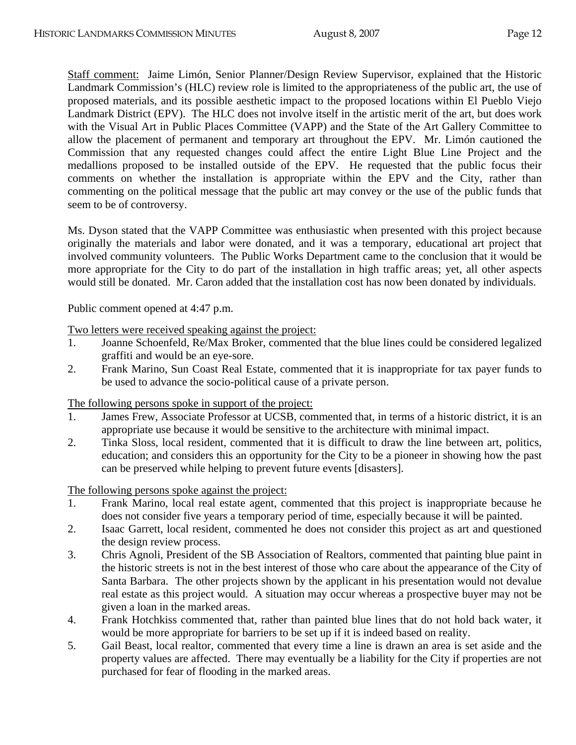Staff comment: Jaime Limón, Senior Planner/Design Review Supervisor, explained that the Historic Landmark Commission's (HLC) review role is limited to the appropriateness of the public art, the use of proposed materials, and its possible aesthetic impact to the proposed locations within El Pueblo Viejo Landmark District (EPV). The HLC does not involve itself in the artistic merit of the art, but does work with the Visual Art in Public Places Committee (VAPP) and the State of the Art Gallery Committee to allow the placement of permanent and temporary art throughout the EPV. Mr. Limón cautioned the Commission that any requested changes could affect the entire Light Blue Line Project and the medallions proposed to be installed outside of the EPV. He requested that the public focus their comments on whether the installation is appropriate within the EPV and the City, rather than commenting on the political message that the public art may convey or the use of the public funds that seem to be of controversy.

Ms. Dyson stated that the VAPP Committee was enthusiastic when presented with this project because originally the materials and labor were donated, and it was a temporary, educational art project that involved community volunteers. The Public Works Department came to the conclusion that it would be more appropriate for the City to do part of the installation in high traffic areas; yet, all other aspects would still be donated. Mr. Caron added that the installation cost has now been donated by individuals.

Public comment opened at 4:47 p.m.

Two letters were received speaking against the project:

- 1. Joanne Schoenfeld, Re/Max Broker, commented that the blue lines could be considered legalized graffiti and would be an eye-sore.
- 2. Frank Marino, Sun Coast Real Estate, commented that it is inappropriate for tax payer funds to be used to advance the socio-political cause of a private person.

The following persons spoke in support of the project:

- 1. James Frew, Associate Professor at UCSB, commented that, in terms of a historic district, it is an appropriate use because it would be sensitive to the architecture with minimal impact.
- 2. Tinka Sloss, local resident, commented that it is difficult to draw the line between art, politics, education; and considers this an opportunity for the City to be a pioneer in showing how the past can be preserved while helping to prevent future events [disasters].

The following persons spoke against the project:

- 1. Frank Marino, local real estate agent, commented that this project is inappropriate because he does not consider five years a temporary period of time, especially because it will be painted.
- 2. Isaac Garrett, local resident, commented he does not consider this project as art and questioned the design review process.
- 3. Chris Agnoli, President of the SB Association of Realtors, commented that painting blue paint in the historic streets is not in the best interest of those who care about the appearance of the City of Santa Barbara. The other projects shown by the applicant in his presentation would not devalue real estate as this project would. A situation may occur whereas a prospective buyer may not be given a loan in the marked areas.
- 4. Frank Hotchkiss commented that, rather than painted blue lines that do not hold back water, it would be more appropriate for barriers to be set up if it is indeed based on reality.
- 5. Gail Beast, local realtor, commented that every time a line is drawn an area is set aside and the property values are affected. There may eventually be a liability for the City if properties are not purchased for fear of flooding in the marked areas.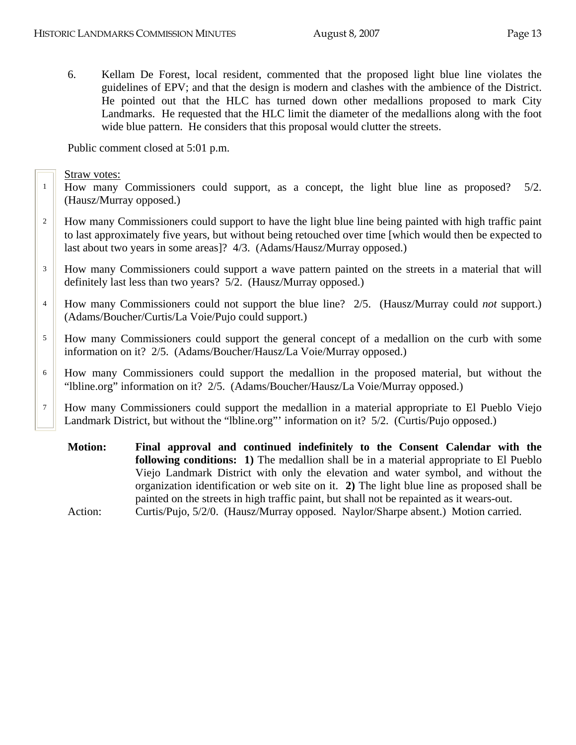6. Kellam De Forest, local resident, commented that the proposed light blue line violates the guidelines of EPV; and that the design is modern and clashes with the ambience of the District. He pointed out that the HLC has turned down other medallions proposed to mark City Landmarks. He requested that the HLC limit the diameter of the medallions along with the foot wide blue pattern. He considers that this proposal would clutter the streets.

Public comment closed at 5:01 p.m.

Straw votes:

- How many Commissioners could support, as a concept, the light blue line as proposed? 5/2. (Hausz/Murray opposed.) 1
- How many Commissioners could support to have the light blue line being painted with high traffic paint to last approximately five years, but without being retouched over time [which would then be expected to last about two years in some areas]? 4/3. (Adams/Hausz/Murray opposed.) 2
- How many Commissioners could support a wave pattern painted on the streets in a material that will definitely last less than two years? 5/2. (Hausz/Murray opposed.) 3
- How many Commissioners could not support the blue line? 2/5. (Hausz/Murray could *not* support.) (Adams/Boucher/Curtis/La Voie/Pujo could support.) 4
- How many Commissioners could support the general concept of a medallion on the curb with some information on it? 2/5. (Adams/Boucher/Hausz/La Voie/Murray opposed.) 5
- How many Commissioners could support the medallion in the proposed material, but without the "lbline.org" information on it? 2/5. (Adams/Boucher/Hausz/La Voie/Murray opposed.) 6
- How many Commissioners could support the medallion in a material appropriate to El Pueblo Viejo Landmark District, but without the "lbline.org" information on it? 5/2. (Curtis/Pujo opposed.) 7
	- **Motion: Final approval and continued indefinitely to the Consent Calendar with the following conditions: 1)** The medallion shall be in a material appropriate to El Pueblo Viejo Landmark District with only the elevation and water symbol, and without the organization identification or web site on it. **2)** The light blue line as proposed shall be painted on the streets in high traffic paint, but shall not be repainted as it wears-out. Action: Curtis/Pujo, 5/2/0. (Hausz/Murray opposed. Naylor/Sharpe absent.) Motion carried.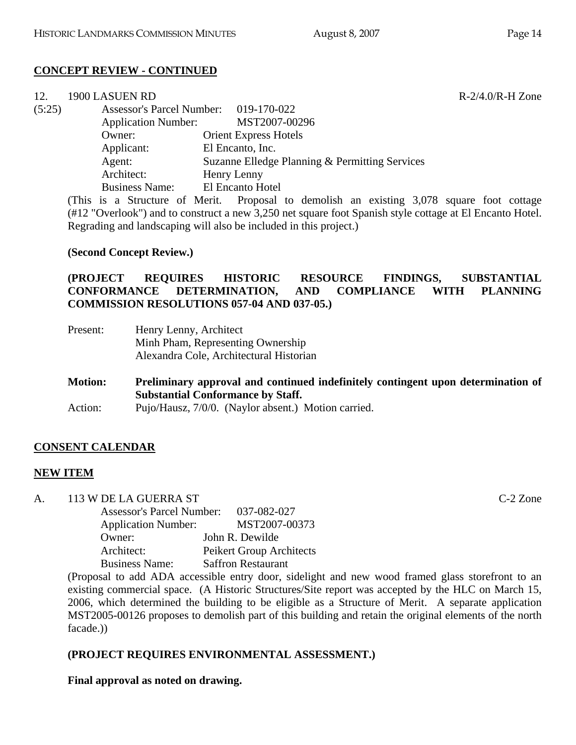## **CONCEPT REVIEW - CONTINUED**

| 12.    | 1900 LASUEN RD                        | $R-2/4.0/R-H$ Zone                                                                                       |
|--------|---------------------------------------|----------------------------------------------------------------------------------------------------------|
| (5:25) | Assessor's Parcel Number: 019-170-022 |                                                                                                          |
|        | <b>Application Number:</b>            | MST2007-00296                                                                                            |
|        | Owner:                                | <b>Orient Express Hotels</b>                                                                             |
|        | Applicant:                            | El Encanto, Inc.                                                                                         |
|        | Agent:                                | Suzanne Elledge Planning & Permitting Services                                                           |
|        | Architect:                            | Henry Lenny                                                                                              |
|        | <b>Business Name:</b>                 | El Encanto Hotel                                                                                         |
|        |                                       | (This is a Structure of Merit. Proposal to demolish an existing 3,078 square foot cottage                |
|        |                                       | (#12 "Overlook") and to construct a new 3,250 net square foot Spanish style cottage at El Encanto Hotel. |
|        |                                       | Regrading and landscaping will also be included in this project.)                                        |

#### **(Second Concept Review.)**

**(PROJECT REQUIRES HISTORIC RESOURCE FINDINGS, SUBSTANTIAL CONFORMANCE DETERMINATION, AND COMPLIANCE WITH PLANNING COMMISSION RESOLUTIONS 057-04 AND 037-05.)** 

| Henry Lenny, Architect                  |
|-----------------------------------------|
| Minh Pham, Representing Ownership       |
| Alexandra Cole, Architectural Historian |
|                                         |

**Motion: Preliminary approval and continued indefinitely contingent upon determination of Substantial Conformance by Staff.**  Action: Pujo/Hausz, 7/0/0. (Naylor absent.) Motion carried.

# **CONSENT CALENDAR**

#### **NEW ITEM**

A. 113 W DE LA GUERRA ST C-2 Zone

| <b>Assessor's Parcel Number:</b> | 037-082-027                     |
|----------------------------------|---------------------------------|
| <b>Application Number:</b>       | MST2007-00373                   |
| Owner:                           | John R. Dewilde                 |
| Architect:                       | <b>Peikert Group Architects</b> |
| <b>Business Name:</b>            | <b>Saffron Restaurant</b>       |

(Proposal to add ADA accessible entry door, sidelight and new wood framed glass storefront to an existing commercial space. (A Historic Structures/Site report was accepted by the HLC on March 15, 2006, which determined the building to be eligible as a Structure of Merit. A separate application MST2005-00126 proposes to demolish part of this building and retain the original elements of the north facade.))

## **(PROJECT REQUIRES ENVIRONMENTAL ASSESSMENT.)**

**Final approval as noted on drawing.**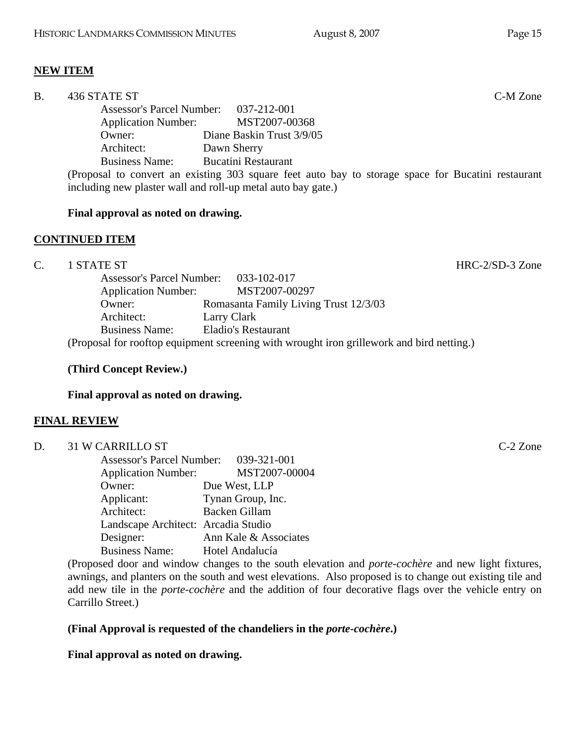# **NEW ITEM**

| <b>B.</b> | 436 STATE ST                          |                                                                                                                                                                    | C-M Zone |
|-----------|---------------------------------------|--------------------------------------------------------------------------------------------------------------------------------------------------------------------|----------|
|           | Assessor's Parcel Number: 037-212-001 |                                                                                                                                                                    |          |
|           | <b>Application Number:</b>            | MST2007-00368                                                                                                                                                      |          |
|           | Owner:                                | Diane Baskin Trust 3/9/05                                                                                                                                          |          |
|           | Architect:                            | Dawn Sherry                                                                                                                                                        |          |
|           | <b>Business Name:</b>                 | <b>Bucatini Restaurant</b>                                                                                                                                         |          |
|           |                                       | (Proposal to convert an existing 303 square feet auto bay to storage space for Bucatini restaurant<br>including new plaster wall and roll-up metal auto bay gate.) |          |

#### **Final approval as noted on drawing.**

#### **CONTINUED ITEM**

| 1 STATE ST            |                                       | HRC-2/SD-3 Zone                                                                                                                                             |
|-----------------------|---------------------------------------|-------------------------------------------------------------------------------------------------------------------------------------------------------------|
|                       | 033-102-017                           |                                                                                                                                                             |
|                       | MST2007-00297                         |                                                                                                                                                             |
| Owner:                | Romasanta Family Living Trust 12/3/03 |                                                                                                                                                             |
| Architect:            | Larry Clark                           |                                                                                                                                                             |
| <b>Business Name:</b> | Eladio's Restaurant                   |                                                                                                                                                             |
|                       |                                       |                                                                                                                                                             |
|                       |                                       | <b>Assessor's Parcel Number:</b><br><b>Application Number:</b><br>(Proposal for rooftop equipment screening with wrought iron grillework and bird netting.) |

#### **(Third Concept Review.)**

#### **Final approval as noted on drawing.**

#### **FINAL REVIEW**

D. 31 W CARRILLO ST C-2 Zone

| Assessor's Parcel Number: 039-321-001 |                       |
|---------------------------------------|-----------------------|
| <b>Application Number:</b>            | MST2007-00004         |
| Owner:                                | Due West, LLP         |
| Applicant:                            | Tynan Group, Inc.     |
| Architect:                            | <b>Backen Gillam</b>  |
| Landscape Architect: Arcadia Studio   |                       |
| Designer:                             | Ann Kale & Associates |
| <b>Business Name:</b>                 | Hotel Andalucía       |

(Proposed door and window changes to the south elevation and *porte-cochère* and new light fixtures, awnings, and planters on the south and west elevations. Also proposed is to change out existing tile and add new tile in the *porte-cochère* and the addition of four decorative flags over the vehicle entry on Carrillo Street.)

#### **(Final Approval is requested of the chandeliers in the** *porte-cochère***.)**

#### **Final approval as noted on drawing.**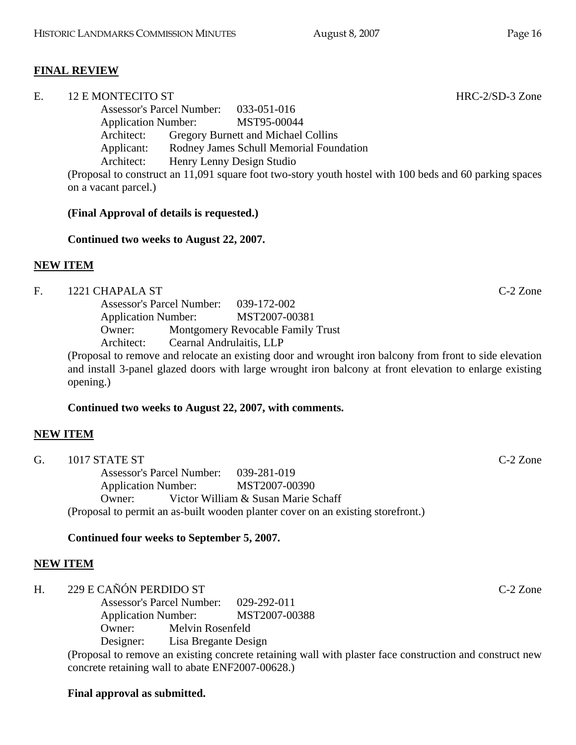## **FINAL REVIEW**

| Ε. | 12 E MONTECITO ST                                                                                       |  |                                         | $HRC-2/SD-3$ Zone |  |
|----|---------------------------------------------------------------------------------------------------------|--|-----------------------------------------|-------------------|--|
|    | <b>Assessor's Parcel Number:</b>                                                                        |  | 033-051-016                             |                   |  |
|    | <b>Application Number:</b>                                                                              |  | MST95-00044                             |                   |  |
|    | Architect:                                                                                              |  | Gregory Burnett and Michael Collins     |                   |  |
|    | Applicant:                                                                                              |  | Rodney James Schull Memorial Foundation |                   |  |
|    | Architect:                                                                                              |  | Henry Lenny Design Studio               |                   |  |
|    | (Proposal to construct an 11,091 square foot two-story youth hostel with 100 beds and 60 parking spaces |  |                                         |                   |  |
|    | on a vacant parcel.)                                                                                    |  |                                         |                   |  |

#### **(Final Approval of details is requested.)**

**Continued two weeks to August 22, 2007.** 

## **NEW ITEM**

F. 1221 CHAPALA ST C-2 Zone

|                            | <b>Assessor's Parcel Number:</b> | 039-172-002                       |
|----------------------------|----------------------------------|-----------------------------------|
| <b>Application Number:</b> |                                  | MST2007-00381                     |
| Owner:                     |                                  | Montgomery Revocable Family Trust |
| Architect:                 | Cearnal Andrulaitis, LLP         |                                   |

(Proposal to remove and relocate an existing door and wrought iron balcony from front to side elevation and install 3-panel glazed doors with large wrought iron balcony at front elevation to enlarge existing opening.)

## **Continued two weeks to August 22, 2007, with comments.**

## **NEW ITEM**

| G. | 1017 STATE ST                         |                                                                                  | $C-2$ Zone |
|----|---------------------------------------|----------------------------------------------------------------------------------|------------|
|    | Assessor's Parcel Number: 039-281-019 |                                                                                  |            |
|    | Application Number: MST2007-00390     |                                                                                  |            |
|    | Owner:                                | Victor William & Susan Marie Schaff                                              |            |
|    |                                       | (Proposal to permit an as-built wooden planter cover on an existing storefront.) |            |

## **Continued four weeks to September 5, 2007.**

# **NEW ITEM**

H. 229 E CAÑÓN PERDIDO ST C-2 Zone

 Assessor's Parcel Number: 029-292-011 Application Number: MST2007-00388 Owner: Melvin Rosenfeld Designer: Lisa Bregante Design

(Proposal to remove an existing concrete retaining wall with plaster face construction and construct new concrete retaining wall to abate ENF2007-00628.)

# **Final approval as submitted.**